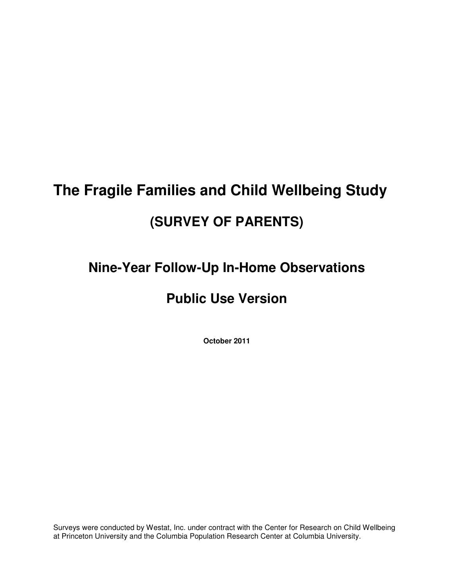# **The Fragile Families and Child Wellbeing Study (SURVEY OF PARENTS)**

## **Nine-Year Follow-Up In-Home Observations**

## **Public Use Version**

**October 2011** 

Surveys were conducted by Westat, Inc. under contract with the Center for Research on Child Wellbeing at Princeton University and the Columbia Population Research Center at Columbia University.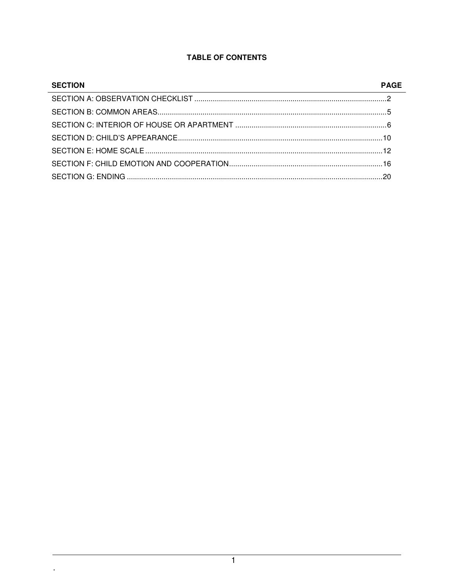#### **TABLE OF CONTENTS**

| <b>SECTION</b> | <b>PAGE</b> |
|----------------|-------------|
|                |             |
|                |             |
|                |             |
|                |             |
|                |             |
|                |             |
|                |             |

 $\mathbf{L}$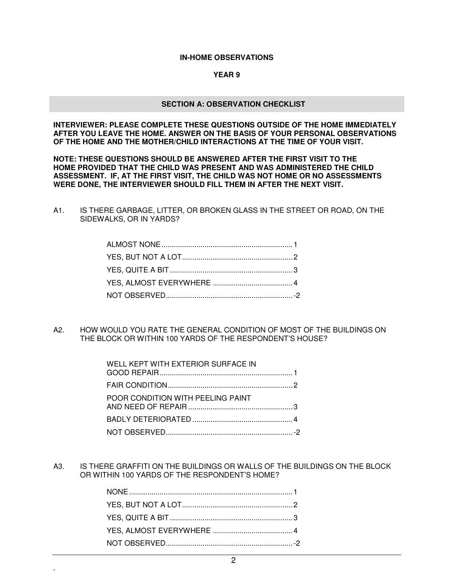#### **IN-HOME OBSERVATIONS**

#### **YEAR 9**

#### **SECTION A: OBSERVATION CHECKLIST**

**INTERVIEWER: PLEASE COMPLETE THESE QUESTIONS OUTSIDE OF THE HOME IMMEDIATELY AFTER YOU LEAVE THE HOME. ANSWER ON THE BASIS OF YOUR PERSONAL OBSERVATIONS OF THE HOME AND THE MOTHER/CHILD INTERACTIONS AT THE TIME OF YOUR VISIT.** 

**NOTE: THESE QUESTIONS SHOULD BE ANSWERED AFTER THE FIRST VISIT TO THE HOME PROVIDED THAT THE CHILD WAS PRESENT AND WAS ADMINISTERED THE CHILD ASSESSMENT. IF, AT THE FIRST VISIT, THE CHILD WAS NOT HOME OR NO ASSESSMENTS WERE DONE, THE INTERVIEWER SHOULD FILL THEM IN AFTER THE NEXT VISIT.** 

A1. IS THERE GARBAGE, LITTER, OR BROKEN GLASS IN THE STREET OR ROAD, ON THE SIDEWALKS, OR IN YARDS?

A2. HOW WOULD YOU RATE THE GENERAL CONDITION OF MOST OF THE BUILDINGS ON THE BLOCK OR WITHIN 100 YARDS OF THE RESPONDENT'S HOUSE?

| WELL KEPT WITH EXTERIOR SURFACE IN |  |
|------------------------------------|--|
|                                    |  |
| POOR CONDITION WITH PEELING PAINT  |  |
|                                    |  |
|                                    |  |

A3. IS THERE GRAFFITI ON THE BUILDINGS OR WALLS OF THE BUILDINGS ON THE BLOCK OR WITHIN 100 YARDS OF THE RESPONDENT'S HOME?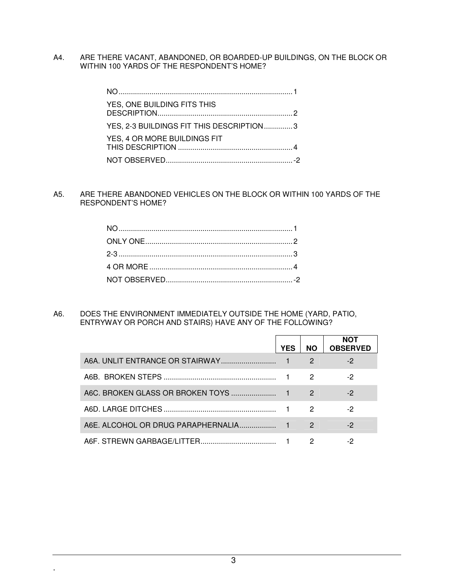A4. ARE THERE VACANT, ABANDONED, OR BOARDED-UP BUILDINGS, ON THE BLOCK OR WITHIN 100 YARDS OF THE RESPONDENT'S HOME?

| YES, ONE BUILDING FITS THIS              |  |
|------------------------------------------|--|
| YES, 2-3 BUILDINGS FIT THIS DESCRIPTION3 |  |
| YES, 4 OR MORE BUILDINGS FIT             |  |
|                                          |  |

A5. ARE THERE ABANDONED VEHICLES ON THE BLOCK OR WITHIN 100 YARDS OF THE RESPONDENT'S HOME?

A6. DOES THE ENVIRONMENT IMMEDIATELY OUTSIDE THE HOME (YARD, PATIO, ENTRYWAY OR PORCH AND STAIRS) HAVE ANY OF THE FOLLOWING?

| <b>YES</b> | <b>NO</b>     | NOT<br><b>OBSERVED</b> |
|------------|---------------|------------------------|
|            | 2             | $-2$                   |
|            | 2             | -2                     |
|            | 2             | -2                     |
|            | 2             | -2                     |
|            | $\mathcal{P}$ | -2                     |
|            |               | -2                     |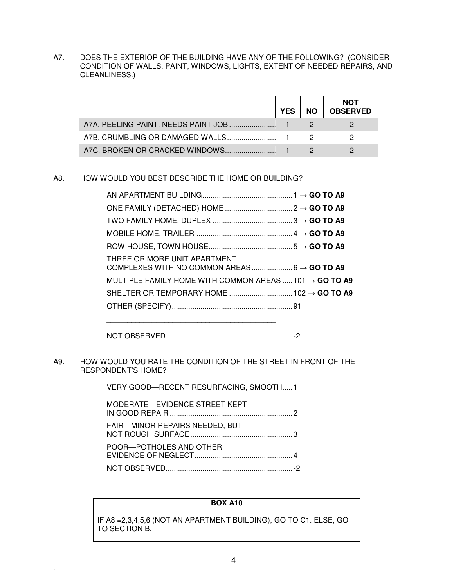A7. DOES THE EXTERIOR OF THE BUILDING HAVE ANY OF THE FOLLOWING? (CONSIDER CONDITION OF WALLS, PAINT, WINDOWS, LIGHTS, EXTENT OF NEEDED REPAIRS, AND CLEANLINESS.)

|                                     | YES | <b>NO</b> | <b>NOT</b><br><b>OBSERVED</b> |
|-------------------------------------|-----|-----------|-------------------------------|
| A7A. PEELING PAINT, NEEDS PAINT JOB |     |           |                               |
|                                     |     |           |                               |
|                                     |     |           |                               |

#### A8. HOW WOULD YOU BEST DESCRIBE THE HOME OR BUILDING?

| THREE OR MORE UNIT APARTMENT                                       |  |
|--------------------------------------------------------------------|--|
| MULTIPLE FAMILY HOME WITH COMMON AREAS  101 $\rightarrow$ GO TO A9 |  |
|                                                                    |  |
|                                                                    |  |
|                                                                    |  |

NOT OBSERVED .............................................................. -2

A9. HOW WOULD YOU RATE THE CONDITION OF THE STREET IN FRONT OF THE RESPONDENT'S HOME?

VERY GOOD-RECENT RESURFACING, SMOOTH.....1

| MODERATE-EVIDENCE STREET KEPT         |  |
|---------------------------------------|--|
| <b>FAIR-MINOR REPAIRS NEEDED, BUT</b> |  |
| POOR-POTHOLES AND OTHER               |  |
|                                       |  |

**.**

#### **BOX A10**

IF A8 =2,3,4,5,6 (NOT AN APARTMENT BUILDING), GO TO C1. ELSE, GO TO SECTION B.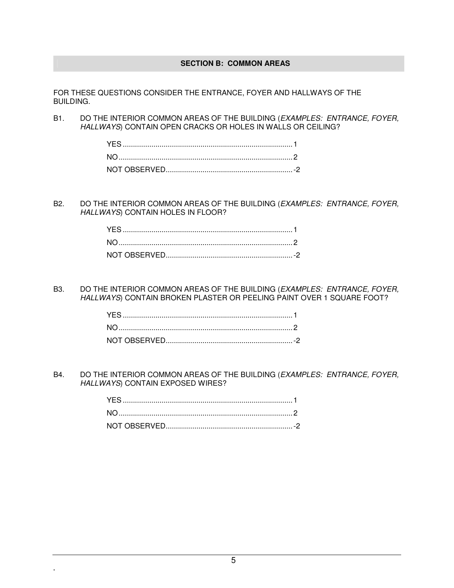#### **SECTION B: COMMON AREAS**

FOR THESE QUESTIONS CONSIDER THE ENTRANCE, FOYER AND HALLWAYS OF THE BUILDING.

B1. DO THE INTERIOR COMMON AREAS OF THE BUILDING (EXAMPLES: ENTRANCE, FOYER, HALLWAYS) CONTAIN OPEN CRACKS OR HOLES IN WALLS OR CEILING?

B2. DO THE INTERIOR COMMON AREAS OF THE BUILDING (EXAMPLES: ENTRANCE, FOYER, HALLWAYS) CONTAIN HOLES IN FLOOR?

B3. DO THE INTERIOR COMMON AREAS OF THE BUILDING (EXAMPLES: ENTRANCE, FOYER, HALLWAYS) CONTAIN BROKEN PLASTER OR PEELING PAINT OVER 1 SQUARE FOOT?

B4. DO THE INTERIOR COMMON AREAS OF THE BUILDING (EXAMPLES: ENTRANCE, FOYER, HALLWAYS) CONTAIN EXPOSED WIRES?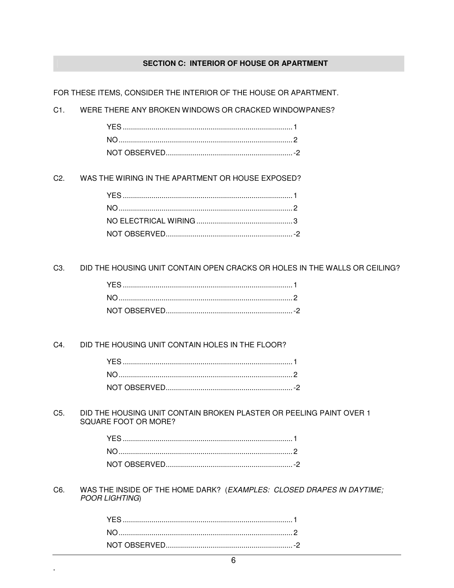#### SECTION C: INTERIOR OF HOUSE OR APARTMENT

FOR THESE ITEMS, CONSIDER THE INTERIOR OF THE HOUSE OR APARTMENT.

 $C1.$ WERE THERE ANY BROKEN WINDOWS OR CRACKED WINDOWPANES?

 $C2.$ WAS THE WIRING IN THE APARTMENT OR HOUSE EXPOSED?

C3. DID THE HOUSING UNIT CONTAIN OPEN CRACKS OR HOLES IN THE WALLS OR CEILING?

 $C4.$ DID THE HOUSING UNIT CONTAIN HOLES IN THE FLOOR?

C5. DID THE HOUSING UNIT CONTAIN BROKEN PLASTER OR PEELING PAINT OVER 1 SQUARE FOOT OR MORE?

C6. WAS THE INSIDE OF THE HOME DARK? (EXAMPLES: CLOSED DRAPES IN DAYTIME; POOR LIGHTING)

÷,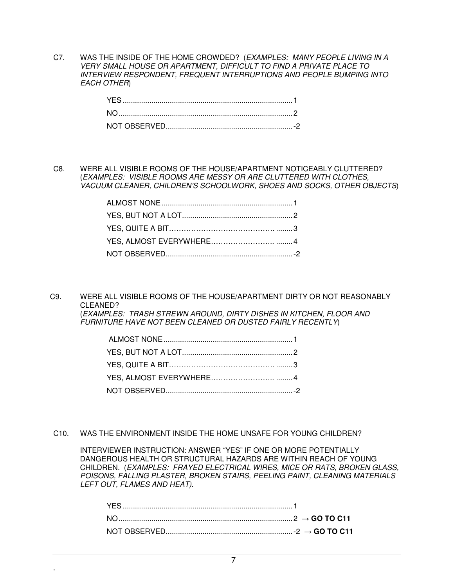C7. WAS THE INSIDE OF THE HOME CROWDED? (EXAMPLES: MANY PEOPLE LIVING IN A VERY SMALL HOUSE OR APARTMENT, DIFFICULT TO FIND A PRIVATE PLACE TO INTERVIEW RESPONDENT, FREQUENT INTERRUPTIONS AND PEOPLE BUMPING INTO EACH OTHER)

C8. WERE ALL VISIBLE ROOMS OF THE HOUSE/APARTMENT NOTICEABLY CLUTTERED? (EXAMPLES: VISIBLE ROOMS ARE MESSY OR ARE CLUTTERED WITH CLOTHES, VACUUM CLEANER, CHILDREN'S SCHOOLWORK, SHOES AND SOCKS, OTHER OBJECTS)

C9. WERE ALL VISIBLE ROOMS OF THE HOUSE/APARTMENT DIRTY OR NOT REASONABLY CLEANED? (EXAMPLES: TRASH STREWN AROUND, DIRTY DISHES IN KITCHEN, FLOOR AND FURNITURE HAVE NOT BEEN CLEANED OR DUSTED FAIRLY RECENTLY)

C10. WAS THE ENVIRONMENT INSIDE THE HOME UNSAFE FOR YOUNG CHILDREN?

**.**

 INTERVIEWER INSTRUCTION: ANSWER "YES" IF ONE OR MORE POTENTIALLY DANGEROUS HEALTH OR STRUCTURAL HAZARDS ARE WITHIN REACH OF YOUNG CHILDREN. (EXAMPLES: FRAYED ELECTRICAL WIRES, MICE OR RATS, BROKEN GLASS, POISONS, FALLING PLASTER, BROKEN STAIRS, PEELING PAINT, CLEANING MATERIALS LEFT OUT, FLAMES AND HEAT).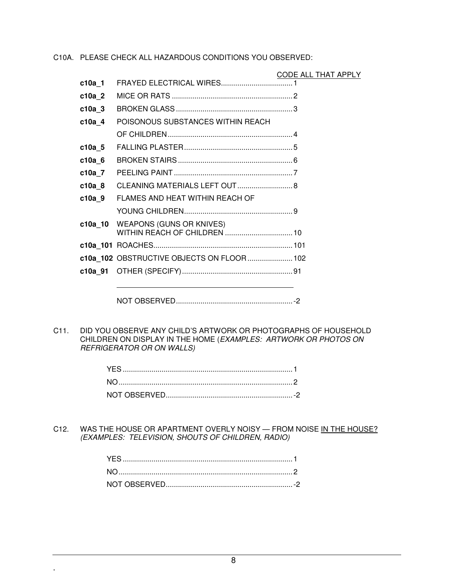C10A. PLEASE CHECK ALL HAZARDOUS CONDITIONS YOU OBSERVED:

|          |                                            | CODE ALL THAT APPLY |  |
|----------|--------------------------------------------|---------------------|--|
| c10a 1   |                                            |                     |  |
| c10a 2   |                                            |                     |  |
| $c10a$ 3 |                                            |                     |  |
| $c10a$ 4 | POISONOUS SUBSTANCES WITHIN REACH          |                     |  |
|          |                                            |                     |  |
| $c10a$ 5 |                                            |                     |  |
| $c10a$ 6 |                                            |                     |  |
| $c10a$ 7 |                                            |                     |  |
| $c10a$ 8 | CLEANING MATERIALS LEFT OUT 8              |                     |  |
| $c10a$ 9 | FLAMES AND HEAT WITHIN REACH OF            |                     |  |
|          |                                            |                     |  |
| c10a 10  | <b>WEAPONS (GUNS OR KNIVES)</b>            |                     |  |
|          |                                            |                     |  |
|          | c10a_102 OBSTRUCTIVE OBJECTS ON FLOOR  102 |                     |  |
| c10a 91  |                                            |                     |  |
|          |                                            |                     |  |
|          |                                            |                     |  |

C11. DID YOU OBSERVE ANY CHILD'S ARTWORK OR PHOTOGRAPHS OF HOUSEHOLD CHILDREN ON DISPLAY IN THE HOME (EXAMPLES: ARTWORK OR PHOTOS ON REFRIGERATOR OR ON WALLS)

C12. WAS THE HOUSE OR APARTMENT OVERLY NOISY - FROM NOISE IN THE HOUSE? (EXAMPLES: TELEVISION, SHOUTS OF CHILDREN, RADIO)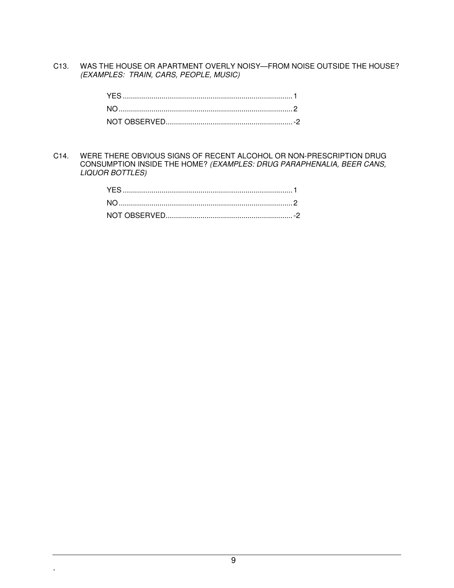C13. WAS THE HOUSE OR APARTMENT OVERLY NOISY—FROM NOISE OUTSIDE THE HOUSE? (EXAMPLES: TRAIN, CARS, PEOPLE, MUSIC)

C14. WERE THERE OBVIOUS SIGNS OF RECENT ALCOHOL OR NON-PRESCRIPTION DRUG CONSUMPTION INSIDE THE HOME? (EXAMPLES: DRUG PARAPHENALIA, BEER CANS, LIQUOR BOTTLES)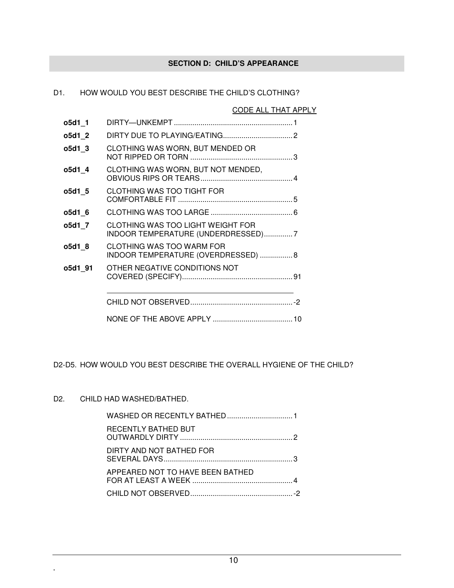## **SECTION D: CHILD'S APPEARANCE**

| D1. |         | HOW WOULD YOU BEST DESCRIBE THE CHILD'S CLOTHING?                       |                     |
|-----|---------|-------------------------------------------------------------------------|---------------------|
|     |         |                                                                         | CODE ALL THAT APPLY |
|     | o5d1 1  |                                                                         |                     |
|     | o5d1 2  |                                                                         |                     |
|     | o5d1 3  | CLOTHING WAS WORN, BUT MENDED OR                                        |                     |
|     | o5d1 4  | CLOTHING WAS WORN, BUT NOT MENDED,                                      |                     |
|     | o5d1 5  | CLOTHING WAS TOO TIGHT FOR                                              |                     |
|     | o5d1 6  |                                                                         |                     |
|     | o5d1 7  | CLOTHING WAS TOO LIGHT WEIGHT FOR<br>INDOOR TEMPERATURE (UNDERDRESSED)7 |                     |
|     | o5d1 8  | <b>CLOTHING WAS TOO WARM FOR</b><br>INDOOR TEMPERATURE (OVERDRESSED) 8  |                     |
|     | o5d1 91 | OTHER NEGATIVE CONDITIONS NOT                                           |                     |
|     |         |                                                                         |                     |
|     |         |                                                                         |                     |
|     |         |                                                                         |                     |

D1. HOW WOULD YOU BEST DESCRIBE THE CHILD'S CLOTHING?

D2-D5. HOW WOULD YOU BEST DESCRIBE THE OVERALL HYGIENE OF THE CHILD?

#### D2. CHILD HAD WASHED/BATHED.

| RECENTLY BATHED BUT              |  |
|----------------------------------|--|
| DIRTY AND NOT BATHED FOR         |  |
| APPEARED NOT TO HAVE BEEN BATHED |  |
|                                  |  |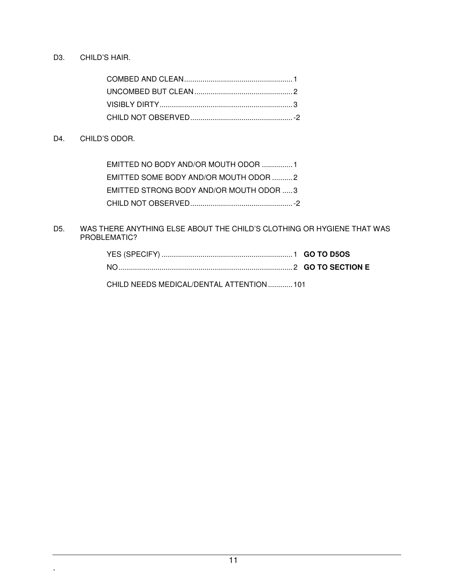D3. CHILD'S HAIR.

#### D4. CHILD'S ODOR.

**.**

| EMITTED NO BODY AND/OR MOUTH ODOR 1     |  |
|-----------------------------------------|--|
| EMITTED SOME BODY AND/OR MOUTH ODOR 2   |  |
| EMITTED STRONG BODY AND/OR MOUTH ODOR 3 |  |
|                                         |  |

#### D5. WAS THERE ANYTHING ELSE ABOUT THE CHILD'S CLOTHING OR HYGIENE THAT WAS PROBLEMATIC?

| CHILD NEEDS MEDICAL/DENTAL ATTENTION  101 |  |
|-------------------------------------------|--|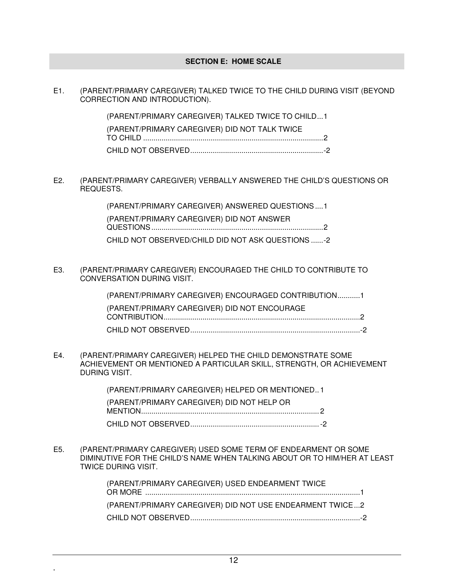#### **SECTION E: HOME SCALE**

E1. (PARENT/PRIMARY CAREGIVER) TALKED TWICE TO THE CHILD DURING VISIT (BEYOND CORRECTION AND INTRODUCTION).

| (PARENT/PRIMARY CAREGIVER) TALKED TWICE TO CHILD1 |  |
|---------------------------------------------------|--|
| (PARENT/PRIMARY CAREGIVER) DID NOT TALK TWICE     |  |
|                                                   |  |
|                                                   |  |

E2. (PARENT/PRIMARY CAREGIVER) VERBALLY ANSWERED THE CHILD'S QUESTIONS OR REQUESTS.

> (PARENT/PRIMARY CAREGIVER) ANSWERED QUESTIONS .... 1 (PARENT/PRIMARY CAREGIVER) DID NOT ANSWER QUESTIONS .................................................................................... 2 CHILD NOT OBSERVED/CHILD DID NOT ASK QUESTIONS ...... -2

E3. (PARENT/PRIMARY CAREGIVER) ENCOURAGED THE CHILD TO CONTRIBUTE TO CONVERSATION DURING VISIT.

| (PARENT/PRIMARY CAREGIVER) ENCOURAGED CONTRIBUTION1 |  |
|-----------------------------------------------------|--|
| (PARENT/PRIMARY CAREGIVER) DID NOT ENCOURAGE        |  |
|                                                     |  |
|                                                     |  |

E4. (PARENT/PRIMARY CAREGIVER) HELPED THE CHILD DEMONSTRATE SOME ACHIEVEMENT OR MENTIONED A PARTICULAR SKILL, STRENGTH, OR ACHIEVEMENT DURING VISIT.

> (PARENT/PRIMARY CAREGIVER) HELPED OR MENTIONED .. 1 (PARENT/PRIMARY CAREGIVER) DID NOT HELP OR MENTION ....................................................................................... 2 CHILD NOT OBSERVED ............................................................... -2

E5. (PARENT/PRIMARY CAREGIVER) USED SOME TERM OF ENDEARMENT OR SOME DIMINUTIVE FOR THE CHILD'S NAME WHEN TALKING ABOUT OR TO HIM/HER AT LEAST TWICE DURING VISIT.

> (PARENT/PRIMARY CAREGIVER) USED ENDEARMENT TWICE OR MORE ......................................................................................................... 1 (PARENT/PRIMARY CAREGIVER) DID NOT USE ENDEARMENT TWICE ... 2 CHILD NOT OBSERVED ................................................................................... -2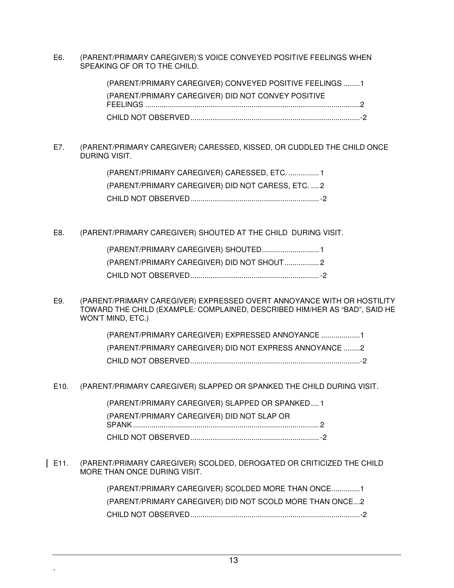E6. (PARENT/PRIMARY CAREGIVER)'S VOICE CONVEYED POSITIVE FEELINGS WHEN SPEAKING OF OR TO THE CHILD.

| (PARENT/PRIMARY CAREGIVER) CONVEYED POSITIVE FEELINGS 1 |  |
|---------------------------------------------------------|--|
| (PARENT/PRIMARY CAREGIVER) DID NOT CONVEY POSITIVE      |  |
|                                                         |  |
|                                                         |  |

E7. (PARENT/PRIMARY CAREGIVER) CARESSED, KISSED, OR CUDDLED THE CHILD ONCE DURING VISIT.

| (PARENT/PRIMARY CAREGIVER) CARESSED, ETC.  1       |  |
|----------------------------------------------------|--|
| (PARENT/PRIMARY CAREGIVER) DID NOT CARESS, ETC.  2 |  |
|                                                    |  |

E8. (PARENT/PRIMARY CAREGIVER) SHOUTED AT THE CHILD DURING VISIT.

E9. (PARENT/PRIMARY CAREGIVER) EXPRESSED OVERT ANNOYANCE WITH OR HOSTILITY TOWARD THE CHILD (EXAMPLE: COMPLAINED, DESCRIBED HIM/HER AS "BAD", SAID HE WON'T MIND, ETC.)

| (PARENT/PRIMARY CAREGIVER) EXPRESSED ANNOYANCE 1       |  |
|--------------------------------------------------------|--|
| (PARENT/PRIMARY CAREGIVER) DID NOT EXPRESS ANNOYANCE 2 |  |
|                                                        |  |

E10. (PARENT/PRIMARY CAREGIVER) SLAPPED OR SPANKED THE CHILD DURING VISIT.

| (PARENT/PRIMARY CAREGIVER) SLAPPED OR SPANKED1 |  |
|------------------------------------------------|--|
| (PARENT/PRIMARY CAREGIVER) DID NOT SLAP OR     |  |
|                                                |  |
|                                                |  |

E11. (PARENT/PRIMARY CAREGIVER) SCOLDED, DEROGATED OR CRITICIZED THE CHILD MORE THAN ONCE DURING VISIT.

> (PARENT/PRIMARY CAREGIVER) SCOLDED MORE THAN ONCE .............. 1 (PARENT/PRIMARY CAREGIVER) DID NOT SCOLD MORE THAN ONCE ... 2 CHILD NOT OBSERVED ................................................................................... -2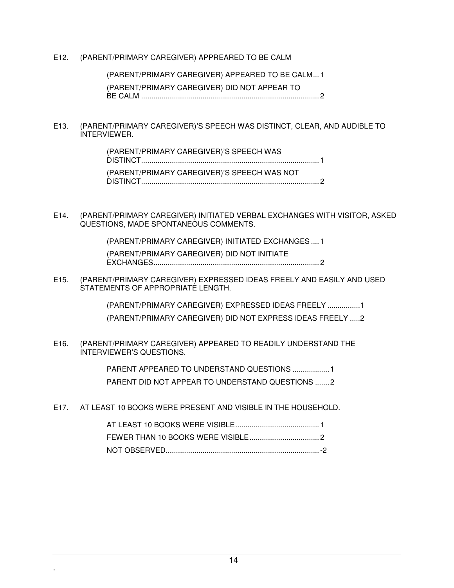#### E12. (PARENT/PRIMARY CAREGIVER) APPREARED TO BE CALM

 (PARENT/PRIMARY CAREGIVER) APPEARED TO BE CALM ... 1 (PARENT/PRIMARY CAREGIVER) DID NOT APPEAR TO BE CALM ....................................................................................... 2

E13. (PARENT/PRIMARY CAREGIVER)'S SPEECH WAS DISTINCT, CLEAR, AND AUDIBLE TO INTERVIEWER.

> (PARENT/PRIMARY CAREGIVER)'S SPEECH WAS DISTINCT ....................................................................................... 1 (PARENT/PRIMARY CAREGIVER)'S SPEECH WAS NOT DISTINCT ....................................................................................... 2

E14. (PARENT/PRIMARY CAREGIVER) INITIATED VERBAL EXCHANGES WITH VISITOR, ASKED QUESTIONS, MADE SPONTANEOUS COMMENTS.

> (PARENT/PRIMARY CAREGIVER) INITIATED EXCHANGES .... 1 (PARENT/PRIMARY CAREGIVER) DID NOT INITIATE EXCHANGES ................................................................................. 2

E15. (PARENT/PRIMARY CAREGIVER) EXPRESSED IDEAS FREELY AND EASILY AND USED STATEMENTS OF APPROPRIATE LENGTH.

> (PARENT/PRIMARY CAREGIVER) EXPRESSED IDEAS FREELY ................ 1 (PARENT/PRIMARY CAREGIVER) DID NOT EXPRESS IDEAS FREELY ..... 2

E16. (PARENT/PRIMARY CAREGIVER) APPEARED TO READILY UNDERSTAND THE INTERVIEWER'S QUESTIONS.

> PARENT APPEARED TO UNDERSTAND QUESTIONS .................. 1 PARENT DID NOT APPEAR TO UNDERSTAND QUESTIONS ....... 2

E17. AT LEAST 10 BOOKS WERE PRESENT AND VISIBLE IN THE HOUSEHOLD.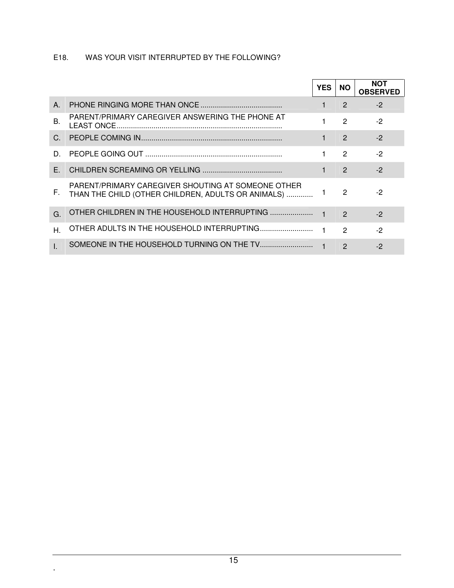### E18. WAS YOUR VISIT INTERRUPTED BY THE FOLLOWING?

|           |                                                                                                          | <b>YES</b> | <b>NO</b>     | <b>NOT</b><br><b>OBSERVED</b> |
|-----------|----------------------------------------------------------------------------------------------------------|------------|---------------|-------------------------------|
| $A_{-}$   |                                                                                                          |            | $\mathcal{P}$ | $-2$                          |
| <b>B.</b> | PARENT/PRIMARY CAREGIVER ANSWERING THE PHONE AT                                                          |            | $\mathcal{P}$ | $-2$                          |
| $C_{1}$   |                                                                                                          |            | $\mathcal{P}$ | $-2$                          |
| D.        |                                                                                                          |            | 2             | $-2$                          |
| F.        |                                                                                                          |            | 2             | $-2$                          |
| F.        | PARENT/PRIMARY CAREGIVER SHOUTING AT SOMEONE OTHER<br>THAN THE CHILD (OTHER CHILDREN, ADULTS OR ANIMALS) |            | 2             | -2                            |
| G.        | OTHER CHILDREN IN THE HOUSEHOLD INTERRUPTING                                                             |            | $\mathcal{P}$ | $-2$                          |
| Η.        |                                                                                                          |            | $\mathcal{P}$ | $-2$                          |
|           |                                                                                                          |            | $\mathcal{P}$ | $-2$                          |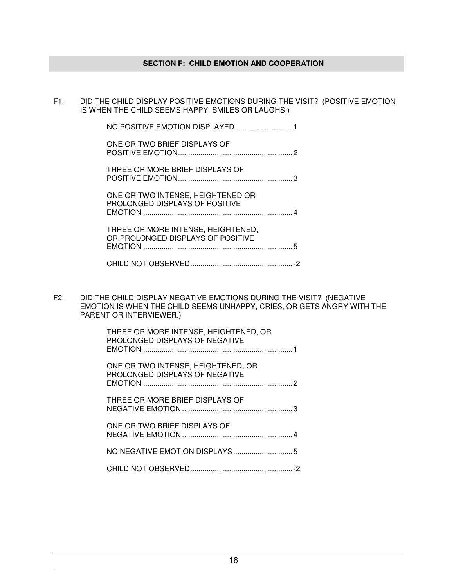#### **SECTION F: CHILD EMOTION AND COOPERATION**

F1. DID THE CHILD DISPLAY POSITIVE EMOTIONS DURING THE VISIT? (POSITIVE EMOTION IS WHEN THE CHILD SEEMS HAPPY, SMILES OR LAUGHS.)

| ONE OR TWO BRIEF DISPLAYS OF                                            |  |
|-------------------------------------------------------------------------|--|
| THREE OR MORE BRIEF DISPLAYS OF                                         |  |
| ONE OR TWO INTENSE, HEIGHTENED OR<br>PROLONGED DISPLAYS OF POSITIVE     |  |
| THREE OR MORE INTENSE, HEIGHTENED,<br>OD BROLONGER BIGBLAVS OF BOSITIVE |  |

 OR PROLONGED DISPLAYS OF POSITIVE EMOTION ......................................................................... 5

F2. DID THE CHILD DISPLAY NEGATIVE EMOTIONS DURING THE VISIT? (NEGATIVE EMOTION IS WHEN THE CHILD SEEMS UNHAPPY, CRIES, OR GETS ANGRY WITH THE PARENT OR INTERVIEWER.)

| THREE OR MORE INTENSE, HEIGHTENED, OR<br>PROLONGED DISPLAYS OF NEGATIVE |  |
|-------------------------------------------------------------------------|--|
| ONE OR TWO INTENSE, HEIGHTENED, OR<br>PROLONGED DISPLAYS OF NEGATIVE    |  |
| THREE OR MORE BRIEF DISPLAYS OF                                         |  |
| ONE OR TWO BRIEF DISPLAYS OF                                            |  |
|                                                                         |  |
|                                                                         |  |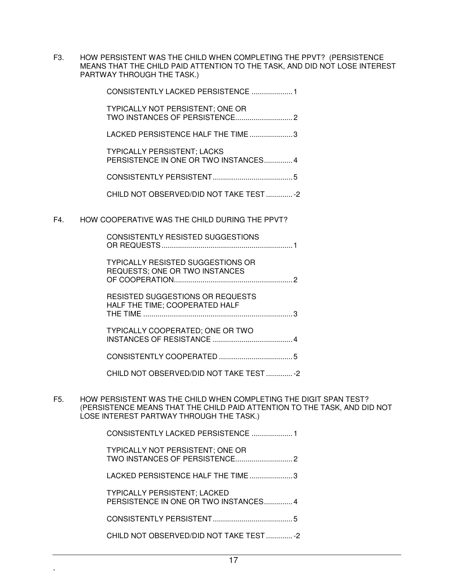F3. HOW PERSISTENT WAS THE CHILD WHEN COMPLETING THE PPVT? (PERSISTENCE MEANS THAT THE CHILD PAID ATTENTION TO THE TASK, AND DID NOT LOSE INTEREST PARTWAY THROUGH THE TASK.)

|     | CONSISTENTLY LACKED PERSISTENCE  1                                         |  |
|-----|----------------------------------------------------------------------------|--|
|     | <b>TYPICALLY NOT PERSISTENT; ONE OR</b>                                    |  |
|     | LACKED PERSISTENCE HALF THE TIME3                                          |  |
|     | <b>TYPICALLY PERSISTENT; LACKS</b><br>PERSISTENCE IN ONE OR TWO INSTANCES4 |  |
|     |                                                                            |  |
|     | CHILD NOT OBSERVED/DID NOT TAKE TEST -2                                    |  |
| F4. | HOW COOPERATIVE WAS THE CHILD DURING THE PPVT?                             |  |
|     | <b>CONSISTENTLY RESISTED SUGGESTIONS</b>                                   |  |
|     | <b>TYPICALLY RESISTED SUGGESTIONS OR</b><br>REQUESTS; ONE OR TWO INSTANCES |  |
|     | <b>RESISTED SUGGESTIONS OR REQUESTS</b><br>HALF THE TIME; COOPERATED HALF  |  |
|     | TYPICALLY COOPERATED; ONE OR TWO                                           |  |
|     |                                                                            |  |
|     | CHILD NOT OBSERVED/DID NOT TAKE TEST -2                                    |  |

F5. HOW PERSISTENT WAS THE CHILD WHEN COMPLETING THE DIGIT SPAN TEST? (PERSISTENCE MEANS THAT THE CHILD PAID ATTENTION TO THE TASK, AND DID NOT LOSE INTEREST PARTWAY THROUGH THE TASK.)

| CONSISTENTLY LACKED PERSISTENCE                                             |
|-----------------------------------------------------------------------------|
| <b>TYPICALLY NOT PERSISTENT; ONE OR</b>                                     |
| LACKED PERSISTENCE HALF THE TIME3                                           |
| <b>TYPICALLY PERSISTENT; LACKED</b><br>PERSISTENCE IN ONE OR TWO INSTANCES4 |
|                                                                             |
| CHILD NOT OBSERVED/DID NOT TAKE TEST-2                                      |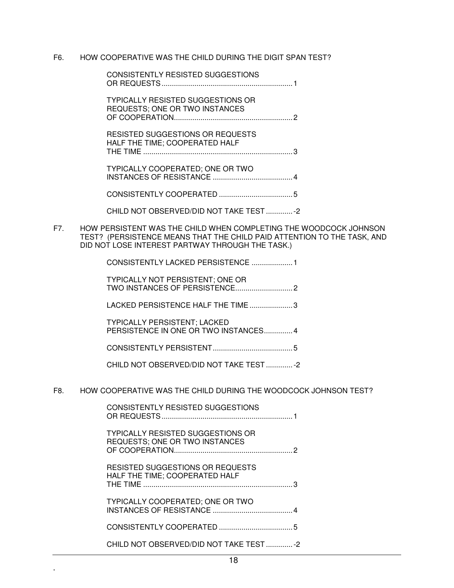#### F6. HOW COOPERATIVE WAS THE CHILD DURING THE DIGIT SPAN TEST?

| CONSISTENTLY RESISTED SUGGESTIONS                                          |  |
|----------------------------------------------------------------------------|--|
| <b>TYPICALLY RESISTED SUGGESTIONS OR</b><br>REQUESTS: ONE OR TWO INSTANCES |  |
| RESISTED SUGGESTIONS OR REQUESTS<br>HALF THE TIME; COOPERATED HALF         |  |
| TYPICALLY COOPERATED; ONE OR TWO                                           |  |
|                                                                            |  |
| CHILD NOT OBSERVED/DID NOT TAKE TEST-2                                     |  |

F7. HOW PERSISTENT WAS THE CHILD WHEN COMPLETING THE WOODCOCK JOHNSON TEST? (PERSISTENCE MEANS THAT THE CHILD PAID ATTENTION TO THE TASK, AND DID NOT LOSE INTEREST PARTWAY THROUGH THE TASK.)

| CONSISTENTLY LACKED PERSISTENCE                                             |  |
|-----------------------------------------------------------------------------|--|
| <b>TYPICALLY NOT PERSISTENT; ONE OR</b>                                     |  |
| LACKED PERSISTENCE HALF THE TIME 3                                          |  |
| <b>TYPICALLY PERSISTENT; LACKED</b><br>PERSISTENCE IN ONE OR TWO INSTANCES4 |  |
| 5                                                                           |  |
| CHILD NOT OBSERVED/DID NOT TAKE TEST2                                       |  |
|                                                                             |  |

F8. HOW COOPERATIVE WAS THE CHILD DURING THE WOODCOCK JOHNSON TEST?

| <b>CONSISTENTLY RESISTED SUGGESTIONS</b>                                          |
|-----------------------------------------------------------------------------------|
| <b>TYPICALLY RESISTED SUGGESTIONS OR</b><br><b>REQUESTS; ONE OR TWO INSTANCES</b> |
| RESISTED SUGGESTIONS OR REQUESTS<br>HALF THE TIME; COOPERATED HALF                |
| TYPICALLY COOPERATED; ONE OR TWO                                                  |
|                                                                                   |
| CHILD NOT OBSERVED/DID NOT TAKE TEST-2                                            |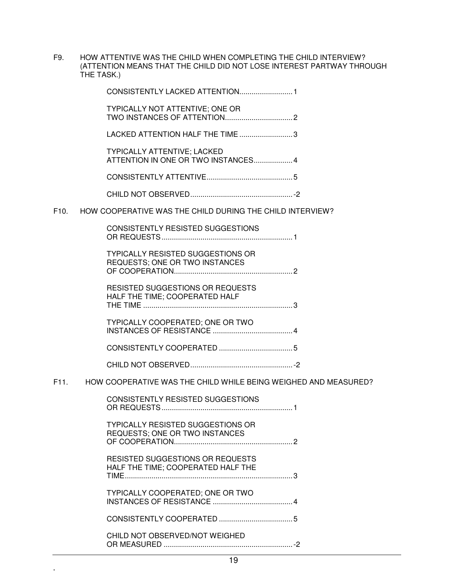F9. HOW ATTENTIVE WAS THE CHILD WHEN COMPLETING THE CHILD INTERVIEW? (ATTENTION MEANS THAT THE CHILD DID NOT LOSE INTEREST PARTWAY THROUGH THE TASK.)

|      | TYPICALLY NOT ATTENTIVE; ONE OR                                               |
|------|-------------------------------------------------------------------------------|
|      | LACKED ATTENTION HALF THE TIME3                                               |
|      | <b>TYPICALLY ATTENTIVE; LACKED</b><br>ATTENTION IN ONE OR TWO INSTANCES 4     |
|      |                                                                               |
|      |                                                                               |
| F10. | HOW COOPERATIVE WAS THE CHILD DURING THE CHILD INTERVIEW?                     |
|      | <b>CONSISTENTLY RESISTED SUGGESTIONS</b>                                      |
|      | <b>TYPICALLY RESISTED SUGGESTIONS OR</b><br>REQUESTS; ONE OR TWO INSTANCES    |
|      | <b>RESISTED SUGGESTIONS OR REQUESTS</b><br>HALF THE TIME; COOPERATED HALF     |
|      | TYPICALLY COOPERATED; ONE OR TWO                                              |
|      |                                                                               |
|      |                                                                               |
|      | F11. HOW COOPERATIVE WAS THE CHILD WHILE BEING WEIGHED AND MEASURED?          |
|      | <b>CONSISTENTLY RESISTED SUGGESTIONS</b>                                      |
|      | <b>TYPICALLY RESISTED SUGGESTIONS OR</b><br>REQUESTS; ONE OR TWO INSTANCES    |
|      | <b>RESISTED SUGGESTIONS OR REQUESTS</b><br>HALF THE TIME; COOPERATED HALF THE |
|      | TYPICALLY COOPERATED; ONE OR TWO                                              |
|      |                                                                               |
|      | CHILD NOT OBSERVED/NOT WEIGHED                                                |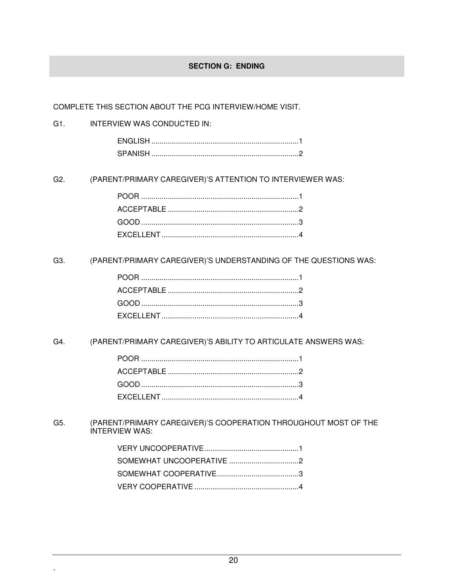#### **SECTION G: ENDING**

COMPLETE THIS SECTION ABOUT THE PCG INTERVIEW/HOME VISIT.

#### $G1.$ INTERVIEW WAS CONDUCTED IN:

#### G<sub>2</sub>. (PARENT/PRIMARY CAREGIVER)'S ATTENTION TO INTERVIEWER WAS:

(PARENT/PRIMARY CAREGIVER)'S UNDERSTANDING OF THE QUESTIONS WAS: G3.

#### G4. (PARENT/PRIMARY CAREGIVER)'S ABILITY TO ARTICULATE ANSWERS WAS:

G5. (PARENT/PRIMARY CAREGIVER)'S COOPERATION THROUGHOUT MOST OF THE INTERVIEW WAS: